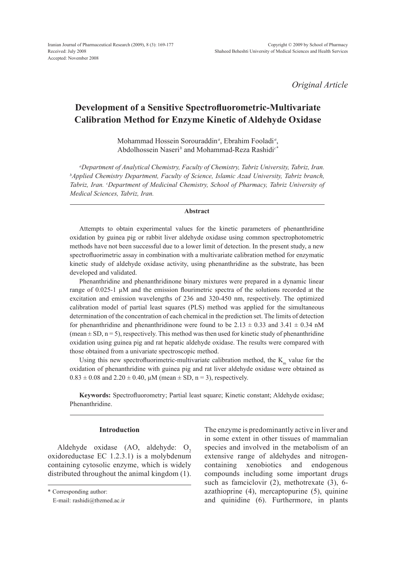*Original Article*

# **Development of a Sensitive Spectrofluorometric-Multivariate Calibration Method for Enzyme Kinetic of Aldehyde Oxidase**

Mohammad Hossein Sorouraddin*<sup>a</sup>* , Ebrahim Fooladi*<sup>a</sup>* , Abdolhossein Naseri*<sup>b</sup>* and Mohammad-Reza Rashidi*c\**

*a Department of Analytical Chemistry, Faculty of Chemistry, Tabriz University, Tabriz, Iran. b Applied Chemistry Department, Faculty of Science, Islamic Azad University, Tabriz branch,*  Tabriz, Iran. <sup>c</sup>Department of Medicinal Chemistry, School of Pharmacy, Tabriz University of *Medical Sciences, Tabriz, Iran.*

#### **Abstract**

Attempts to obtain experimental values for the kinetic parameters of phenanthridine oxidation by guinea pig or rabbit liver aldehyde oxidase using common spectrophotometric methods have not been successful due to a lower limit of detection. In the present study, a new spectrofluorimetric assay in combination with a multivariate calibration method for enzymatic kinetic study of aldehyde oxidase activity, using phenanthridine as the substrate, has been developed and validated.

Phenanthridine and phenanthridinone binary mixtures were prepared in a dynamic linear range of  $0.025$ -1  $\mu$ M and the emission flourimetric spectra of the solutions recorded at the excitation and emission wavelengths of 236 and 320-450 nm, respectively. The optimized calibration model of partial least squares (PLS) method was applied for the simultaneous determination of the concentration of each chemical in the prediction set. The limits of detection for phenanthridine and phenanthridinone were found to be  $2.13 \pm 0.33$  and  $3.41 \pm 0.34$  nM  $(\text{mean} \pm \text{SD}, \text{n} = 5)$ , respectively. This method was then used for kinetic study of phenanthridine oxidation using guinea pig and rat hepatic aldehyde oxidase. The results were compared with those obtained from a univariate spectroscopic method.

Using this new spectrofluorimetric-multivariate calibration method, the  $K<sub>m</sub>$  value for the oxidation of phenanthridine with guinea pig and rat liver aldehyde oxidase were obtained as  $0.83 \pm 0.08$  and  $2.20 \pm 0.40$ ,  $\mu$ M (mean  $\pm$  SD, n = 3), respectively.

**Keywords:** Spectrofluorometry; Partial least square; Kinetic constant; Aldehyde oxidase; Phenanthridine.

## **Introduction**

Aldehyde oxidase  $(AO, aldehyde: O<sub>2</sub>)$ oxidoreductase EC 1.2.3.1) is a molybdenum containing cytosolic enzyme, which is widely distributed throughout the animal kingdom (1).

The enzyme is predominantly active in liver and in some extent in other tissues of mammalian species and involved in the metabolism of an extensive range of aldehydes and nitrogencontaining xenobiotics and endogenous compounds including some important drugs such as famciclovir (2), methotrexate (3), 6 azathioprine (4), mercaptopurine (5), quinine and quinidine (6). Furthermore, in plants

<sup>\*</sup> Corresponding author:

E-mail: rashidi@tbzmed.ac.ir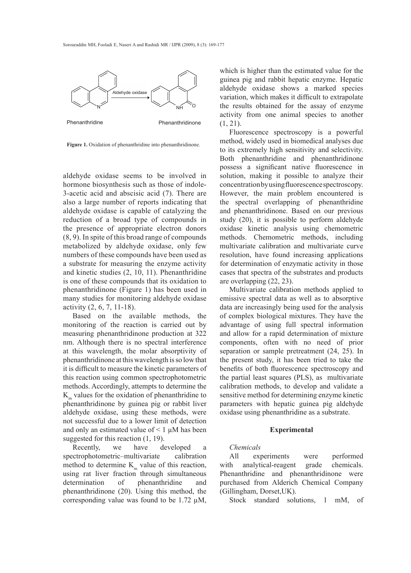

Figure 1. Oxidation of phenanthridine into phenanthridinone.

aldehyde oxidase seems to be involved in hormone biosynthesis such as those of indole-3-acetic acid and abscisic acid (7). There are also a large number of reports indicating that aldehyde oxidase is capable of catalyzing the reduction of a broad type of compounds in the presence of appropriate electron donors (8, 9). In spite of this broad range of compounds metabolized by aldehyde oxidase, only few numbers of these compounds have been used as a substrate for measuring the enzyme activity and kinetic studies (2, 10, 11). Phenanthridine is one of these compounds that its oxidation to phenanthridinone (Figure 1) has been used in many studies for monitoring aldehyde oxidase activity (2, 6, 7, 11-18).

Based on the available methods, the monitoring of the reaction is carried out by measuring phenanthridinone production at 322 nm. Although there is no spectral interference at this wavelength, the molar absorptivity of phenanthridinone at this wavelength is so low that it is difficult to measure the kinetic parameters of this reaction using common spectrophotometric methods. Accordingly, attempts to determine the  $K<sub>m</sub>$  values for the oxidation of phenanthridine to phenanthridinone by guinea pig or rabbit liver aldehyde oxidase, using these methods, were not successful due to a lower limit of detection and only an estimated value of  $\leq 1 \mu M$  has been suggested for this reaction  $(1, 19)$ .

Recently, we have developed a spectrophotometric–multivariate calibration method to determine  $K<sub>m</sub>$  value of this reaction, using rat liver fraction through simultaneous determination of phenanthridine and phenanthridinone (20). Using this method, the corresponding value was found to be 1.72 µM, which is higher than the estimated value for the guinea pig and rabbit hepatic enzyme. Hepatic aldehyde oxidase shows a marked species variation, which makes it difficult to extrapolate the results obtained for the assay of enzyme activity from one animal species to another  $(1, 21)$ .

Fluorescence spectroscopy is a powerful method, widely used in biomedical analyses due to its extremely high sensitivity and selectivity. Both phenanthridine and phenanthridinone possess a significant native fluorescence in solution, making it possible to analyze their concentration by using fluorescence spectroscopy. However, the main problem encountered is the spectral overlapping of phenanthridine and phenanthridinone. Based on our previous study (20), it is possible to perform aldehyde oxidase kinetic analysis using chemometric methods. Chemometric methods, including multivariate calibration and multivariate curve resolution, have found increasing applications for determination of enzymatic activity in those cases that spectra of the substrates and products are overlapping (22, 23).

Multivariate calibration methods applied to emissive spectral data as well as to absorptive data are increasingly being used for the analysis of complex biological mixtures. They have the advantage of using full spectral information and allow for a rapid determination of mixture components, often with no need of prior separation or sample pretreatment (24, 25). In the present study, it has been tried to take the benefits of both fluorescence spectroscopy and the partial least squares (PLS), as multivariate calibration methods, to develop and validate a sensitive method for determining enzyme kinetic parameters with hepatic guinea pig aldehyde oxidase using phenanthridine as a substrate.

## **Experimental**

## *Chemicals*

All experiments were performed with analytical-reagent grade chemicals. Phenanthridine and phenanthridinone were purchased from Alderich Chemical Company (Gillingham, Dorset,UK).

Stock standard solutions, 1 mM, of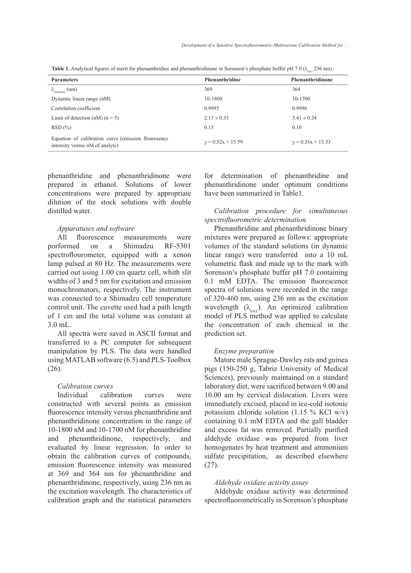| <b>Parameters</b>                                                                      | Phenanthridine      | Phenanthridinone    |
|----------------------------------------------------------------------------------------|---------------------|---------------------|
|                                                                                        |                     |                     |
| $\lambda_{\max(em)}$ (nm)                                                              | 369                 | 364                 |
| Dynamic linear range (nM)                                                              | 10-1800             | 10-1700             |
| Correlation coefficient                                                                | 0.9995              | 0.9996              |
| Limit of detection $(nM)$ $(n = 5)$                                                    | $2.13 \pm 0.33$     | $3.41 \pm 0.34$     |
| RSD(%)                                                                                 | 0.15                | 0.10                |
| Equation of calibration curve (emission flouresence<br>intensity versus nM of analyte) | $y = 0.52x + 15.59$ | $y = 0.35x + 13.33$ |

**Table 1.** Analytical figures of merit for phenanthridine and phenanthridinone in Sorenson's phosphate buffer pH 7.0 ( $\lambda_{\text{(ex)}}$  236 nm).

phenanthridine and phenanthridinone were prepared in ethanol. Solutions of lower concentrations were prepared by appropriate dilution of the stock solutions with double distilled water.

## *Apparatuses and software*

All fluorescence measurements were porformed on a Shimadzu RF-5301 spectroflourometer, equipped with a xenon lamp pulsed at 80 Hz. The measurements were carried out using 1.00 cm quartz cell, whith slit widths of 3 and 5 nm for excitation and emission monochromators, respectively. The instrument was connected to a Shimadzu cell temperature control unit. The cuvette used had a path length of 1 cm and the total volume was constant at 3.0 mL.

All spectra were saved in ASCІІ format and transferred to a PC computer for subsequent manipulation by PLS. The data were handled using MATLAB software (6.5) and PLS-Toolbox (26).

## *Calibration curves*

Individual calibration curves were constructed with several points as emission fluorescence intensity versus phenanthridine and phenanthridinone concentration in the range of 10-1800 nM and 10-1700 nM for phenanthridine and phenanthridinone, respectively, and evaluated by linear regression. In order to obtain the calibration curves of compounds, emission fluorescence intensity was measured at 369 and 364 nm for phenanthridine and phenanthridinone, respectively, using 236 nm as the excitation wavelength. The characteristics of calibration graph and the statistical parameters for determination of phenanthridine and phenanthridinone under optimum conditions have been summarized in Table1.

# *Calibration procedure for simultaneous spectrofluorometric determination*

Phenanthridine and phenanthridinone binary mixtures were prepared as follows: appropriate volumes of the standard solutions (in dynamic linear range) were transferred into a 10 mL volumetric flask and made up to the mark with Sorenson's phosphate buffer pH 7.0 containing 0.1 mM EDTA. The emission fluorescence spectra of solutions were recorded in the range of 320-460 nm, using 236 nm as the excitation wavelength  $(\lambda_{\text{(ex)}})$ . An optimized calibration model of PLS method was applied to calculate the concentration of each chemical in the prediction set.

#### *Enzyme preparation*

Mature male Sprague-Dawley rats and guinea pigs (150-250 g, Tabriz University of Medical Sciences), previously maintained on a standard laboratory diet, were sacrificed between 9.00 and 10.00 am by cervical dislocation. Livers were immediately excised, placed in ice-cold isotonic potassium chloride solution (1.15 % KCl w/v) containing 0.1 mM EDTA and the gall bladder and excess fat was removed. Partially purified aldehyde oxidase was prepared from liver homogenates by heat treatment and ammonium sulfate precipitation, as described elsewhere (27).

#### *Aldehyde oxidase activity assay*

Aldehyde oxidase activity was determined spectrofluorometrically in Sorenson's phosphate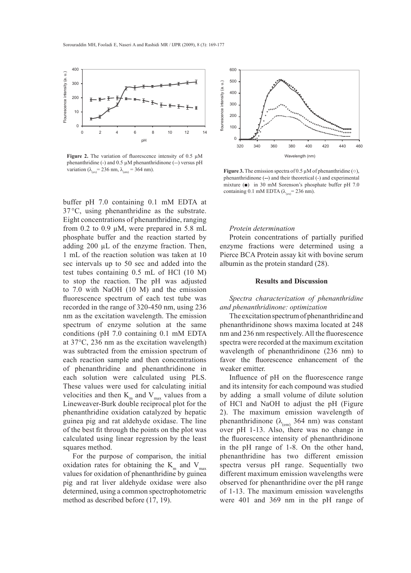

**Figure 2.** The variation of fluorescence intensity of 0.5  $\mu$ M phenanthridine (-) and  $0.5 \mu M$  phenanthridinone (--) versus pH variation ( $\lambda_{\text{(ex)}}$  = 236 nm,  $\lambda_{\text{(em)}}$  = 364 nm).

buffer pH 7.0 containing 0.1 mM EDTA at 37 °C, using phenanthridine as the substrate. Eight concentrations of phenanthridine, ranging from 0.2 to 0.9  $\mu$ M, were prepared in 5.8 mL phosphate buffer and the reaction started by adding 200 µL of the enzyme fraction. Then, 1 mL of the reaction solution was taken at 10 sec intervals up to 50 sec and added into the test tubes containing 0.5 mL of HCl (10 M) to stop the reaction. The pH was adjusted to 7.0 with NaOH (10 M) and the emission fluorescence spectrum of each test tube was recorded in the range of 320-450 nm, using 236 nm as the excitation wavelength. The emission spectrum of enzyme solution at the same conditions (pH 7.0 containing 0.1 mM EDTA at 37°C, 236 nm as the excitation wavelength) was subtracted from the emission spectrum of each reaction sample and then concentrations of phenanthridine and phenanthridinone in each solution were calculated using PLS. These values were used for calculating initial velocities and then  $K<sub>m</sub>$  and  $V<sub>max</sub>$  values from a Lineweaver-Burk double reciprocal plot for the phenanthridine oxidation catalyzed by hepatic guinea pig and rat aldehyde oxidase. The line of the best fit through the points on the plot was calculated using linear regression by the least squares method.

For the purpose of comparison, the initial oxidation rates for obtaining the  $K<sub>m</sub>$  and  $V<sub>max</sub>$ values for oxidation of phenanthridine by guinea pig and rat liver aldehyde oxidase were also determined, using a common spectrophotometric method as described before (17, 19).



**Figure 3.** The emission spectra of 0.5 µM of phenanthridine (○), phenanthridinone (**--**) and their theoretical (-) and experimental mixture (■) in 30 mM Sorenson's phosphate buffer pH 7.0 containing 0.1 mM EDTA ( $\lambda_{\text{(ex)}}$ = 236 nm).

#### *Protein determination*

Protein concentrations of partially purified enzyme fractions were determined using a Pierce BCA Protein assay kit with bovine serum albumin as the protein standard (28).

### **Results and Discussion**

# *Spectra characterization of phenanthridine and phenanthridinone: optimization*

The excitation spectrum of phenanthridine and phenanthridinone shows maxima located at 248 nm and 236 nm respectively. All the fluorescence spectra were recorded at the maximum excitation wavelength of phenanthridinone (236 nm) to favor the fluorescence enhancement of the weaker emitter.

Influence of pH on the fluorescence range and its intensity for each compound was studied by adding a small volume of dilute solution of HCl and NaOH to adjust the pH (Figure 2). The maximum emission wavelength of phenanthridinone ( $\lambda_{\text{(em)}}$  364 nm) was constant over pH 1-13. Also, there was no change in the fluorescence intensity of phenanthridinone in the pH range of 1-8. On the other hand, phenanthridine has two different emission spectra versus pH range. Sequentially two different maximum emission wavelengths were observed for phenanthridine over the pH range of 1-13. The maximum emission wavelengths were 401 and 369 nm in the pH range of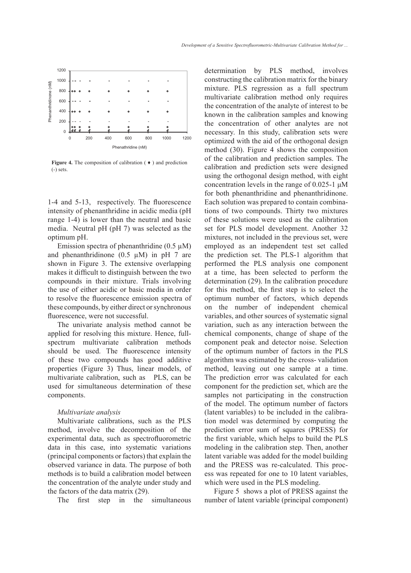

**Figure 4.** The composition of calibration ( ♦ ) and prediction (-) sets.

1-4 and 5-13, respectively. The fluorescence intensity of phenanthridine in acidic media (pH range 1-4) is lower than the neutral and basic media. Neutral pH (pH 7) was selected as the optimum pH.

Emission spectra of phenanthridine  $(0.5 \mu M)$ and phenanthridinone  $(0.5 \mu M)$  in pH 7 are shown in Figure 3. The extensive overlapping makes it difficult to distinguish between the two compounds in their mixture. Trials involving the use of either acidic or basic media in order to resolve the fluorescence emission spectra of these compounds, by either direct or synchronous fluorescence, were not successful.

The univariate analysis method cannot be applied for resolving this mixture. Hence, fullspectrum multivariate calibration methods should be used. The fluorescence intensity of these two compounds has good additive properties (Figure 3) Thus, linear models, of multivariate calibration, such as PLS, can be used for simultaneous determination of these components.

## *Multivariate analysis*

Multivariate calibrations, such as the PLS method, involve the decomposition of the experimental data, such as spectrofluorometric data in this case, into systematic variations (principal components or factors) that explain the observed variance in data. The purpose of both methods is to build a calibration model between the concentration of the analyte under study and the factors of the data matrix (29).

The first step in the simultaneous

determination by PLS method, involves constructing the calibration matrix for the binary mixture. PLS regression as a full spectrum multivariate calibration method only requires the concentration of the analyte of interest to be known in the calibration samples and knowing the concentration of other analytes are not necessary. In this study, calibration sets were optimized with the aid of the orthogonal design method (30). Figure 4 shows the composition of the calibration and prediction samples. The calibration and prediction sets were designed using the orthogonal design method, with eight concentration levels in the range of 0.025-1 μM for both phenanthridine and phenanthridinone. Each solution was prepared to contain combinations of two compounds. Thirty two mixtures of these solutions were used as the calibration set for PLS model development. Another 32 mixtures, not included in the previous set, were employed as an independent test set called the prediction set. The PLS-1 algorithm that performed the PLS analysis one component at a time, has been selected to perform the determination (29). In the calibration procedure for this method, the first step is to select the optimum number of factors, which depends on the number of independent chemical variables, and other sources of systematic signal variation, such as any interaction between the chemical components, change of shape of the component peak and detector noise. Selection of the optimum number of factors in the PLS algorithm was estimated by the cross- validation method, leaving out one sample at a time. The prediction error was calculated for each component for the prediction set, which are the samples not participating in the construction of the model. The optimum number of factors (latent variables) to be included in the calibration model was determined by computing the prediction error sum of squares (PRESS) for the first variable, which helps to build the PLS modeling in the calibration step. Then, another latent variable was added for the model building and the PRESS was re-calculated. This process was repeated for one to 10 latent variables, which were used in the PLS modeling.

Figure 5 shows a plot of PRESS against the number of latent variable (principal component)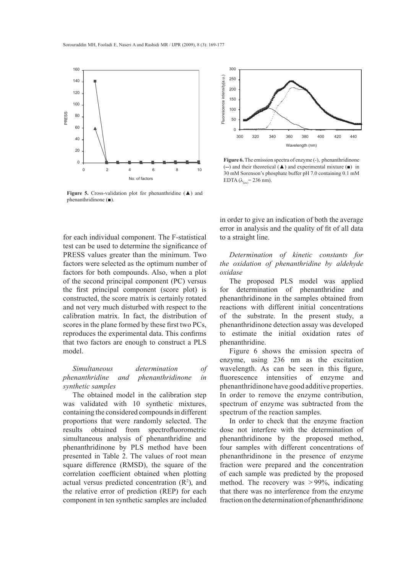

**Figure 5.** Cross-validation plot for phenanthridine (▲) and phenanthridinone (■).



# *Simultaneous determination of phenanthridine and phenanthridinone in synthetic samples*

The obtained model in the calibration step was validated with 10 synthetic mixtures, containing the considered compounds in different proportions that were randomly selected. The results obtained from spectrofluorometric simultaneous analysis of phenanthridine and phenanthridinone by PLS method have been presented in Table 2. The values of root mean square difference (RMSD), the square of the correlation coefficient obtained when plotting actual versus predicted concentration  $(R^2)$ , and the relative error of prediction (REP) for each component in ten synthetic samples are included



Figure 6. The emission spectra of enzyme (-), phenanthridinone (**--**) and their theoretical (▲) and experimental mixture (■) in 30 mM Sorenson's phosphate buffer pH 7.0 containing 0.1 mM EDTA  $(\lambda_{\text{env}} = 236 \text{ nm})$ .

in order to give an indication of both the average error in analysis and the quality of fit of all data to a straight line.

*Determination of kinetic constants for the oxidation of phenanthridine by aldehyde oxidase*

The proposed PLS model was applied for determination of phenanthridine and phenanthridinone in the samples obtained from reactions with different initial concentrations of the substrate. In the present study, a phenanthridinone detection assay was developed to estimate the initial oxidation rates of phenanthridine.

Figure 6 shows the emission spectra of enzyme, using 236 nm as the excitation wavelength. As can be seen in this figure, fluorescence intensities of enzyme and phenanthridinone have good additive properties. In order to remove the enzyme contribution, spectrum of enzyme was subtracted from the spectrum of the reaction samples.

In order to check that the enzyme fraction dose not interfere with the determination of phenanthridinone by the proposed method, four samples with different concentrations of phenanthridinone in the presence of enzyme fraction were prepared and the concentration of each sample was predicted by the proposed method. The recovery was > 99%, indicating that there was no interference from the enzyme fraction on the determination of phenanthridinone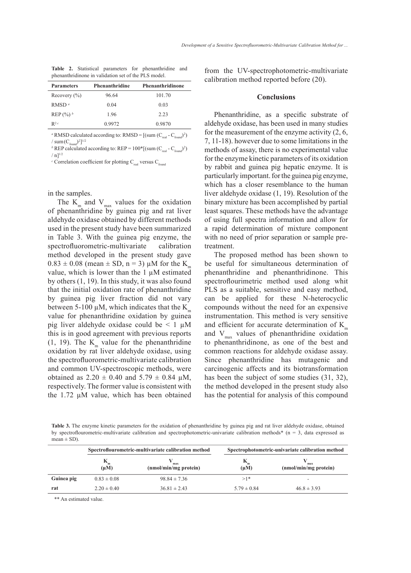|  |                                                      | <b>Table 2.</b> Statistical parameters for phenanthridine and |  |
|--|------------------------------------------------------|---------------------------------------------------------------|--|
|  | phenanthridinone in validation set of the PLS model. |                                                               |  |

| <b>Parameters</b>       | Phenanthridine | Phenanthridinone |
|-------------------------|----------------|------------------|
| Recovery $(\% )$        | 96.64          | 101.70           |
| RMSD <sup>a</sup>       | 0.04           | 0.03             |
| REP $(\%)$ <sup>b</sup> | 1.96           | 2.23             |
| $R^{2c}$                | 0.9972         | 0.9870           |

<sup>*a*</sup> RMSD calculated according to: RMSD =  $[(\text{sum } (C_{\text{real}} - C_{\text{found}})^2)]$ /  $sum(C_{found})^2$ <sup>1/2</sup>

<sup>*b*</sup> REP calculated according to: REP =  $100 * [(sum (C<sub>real</sub> - C<sub>found</sub>)<sup>2</sup>)$  $/ \, n l^{1/2}$ 

<sup>*c*</sup> Correlation coefficient for plotting  $C_{\text{real}}$  versus  $C_{\text{found}}$ 

in the samples.

The  $K_{m}$  and  $V_{max}$  values for the oxidation of phenanthridine by guinea pig and rat liver aldehyde oxidase obtained by different methods used in the present study have been summarized in Table 3. With the guinea pig enzyme, the spectrofluorometric-multivariate calibration method developed in the present study gave  $0.83 \pm 0.08$  (mean  $\pm$  SD, n = 3) µM for the K<sub>m</sub> value, which is lower than the 1 µM estimated by others (1, 19). In this study, it was also found that the initial oxidation rate of phenanthridine by guinea pig liver fraction did not vary between 5-100  $\mu$ M, which indicates that the K<sub>m</sub> value for phenanthridine oxidation by guinea pig liver aldehyde oxidase could be  $\leq 1 \mu M$ this is in good agreement with previous reports (1, 19). The  $K_m$  value for the phenanthridine oxidation by rat liver aldehyde oxidase, using the spectrofluorometric-multivariate calibration and common UV-spectroscopic methods, were obtained as  $2.20 \pm 0.40$  and  $5.79 \pm 0.84$  µM, respectively. The former value is consistent with the 1.72 µM value, which has been obtained

from the UV-spectrophotometric-multivariate calibration method reported before (20).

#### **Conclusions**

Phenanthridine, as a specific substrate of aldehyde oxidase, has been used in many studies for the measurement of the enzyme activity (2, 6, 7, 11-18). however due to some limitations in the methods of assay, there is no experimental value for the enzyme kinetic parameters of its oxidation by rabbit and guinea pig hepatic enzyme. It is particularly important. for the guinea pig enzyme, which has a closer resemblance to the human liver aldehyde oxidase (1, 19). Resolution of the binary mixture has been accomplished by partial least squares. These methods have the advantage of using full spectra information and allow for a rapid determination of mixture component with no need of prior separation or sample pretreatment.

The proposed method has been shown to be useful for simultaneous determination of phenanthridine and phenanthridinone. This spectroflourimetric method used along whit PLS as a suitable, sensitive and easy method, can be applied for these N-heterocyclic compounds without the need for an expensive instrumentation. This method is very sensitive and efficient for accurate determination of  $K<sub>m</sub>$ and  $V_{\text{max}}$  values of phenanthridine oxidation to phenanthridinone, as one of the best and common reactions for aldehyde oxidase assay. Since phenanthridine has mutagenic and carcinogenic affects and its biotransformation has been the subject of some studies (31, 32), the method developed in the present study also has the potential for analysis of this compound

**Table 3.** The enzyme kinetic parameters for the oxidation of phenanthridine by guinea pig and rat liver aldehyde oxidase, obtained by spectroflourometric-multivariate calibration and spectrophotometric-univariate calibration methods\* (n = 3, data expressed as mean  $\pm$  SD).

|            | Spectroflourometric-multivariate calibration method |                              | Spectrophotometric-univariate calibration method |                              |  |
|------------|-----------------------------------------------------|------------------------------|--------------------------------------------------|------------------------------|--|
|            | $K_{m}$<br>$(\mu M)$                                | max<br>(nmol/min/mg protein) | $(\mu M)$                                        | max<br>(nmol/min/mg protein) |  |
| Guinea pig | $0.83 \pm 0.08$                                     | $98.84 \pm 7.36$             | $>1*$                                            | -                            |  |
| rat        | $2.20 \pm 0.40$                                     | $36.81 \pm 2.43$             | $5.79 \pm 0.84$                                  | $46.8 \pm 3.93$              |  |

\*\* An estimated value.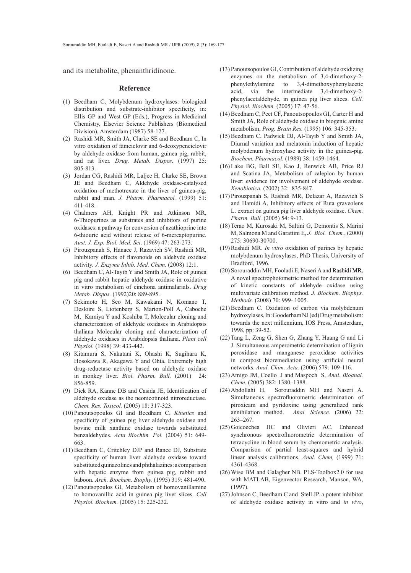and its metabolite, phenanthridinone.

#### **Reference**

- (1) Beedham C, Molybdenum hydroxylases: biological distribution and substrate-inhibitor specificity, in: Ellis GP and West GP (Eds.), Progress in Medicinal Chemistry, Elsevier Science Publishers (Biomedical Division), Amsterdam (1987) 58-127.
- (2) Rashidi MR, Smith JA, Clarke SE and Beedham C, In vitro oxidation of famciclovir and 6-deoxypenciclovir by aldehyde oxidase from human, guinea pig, rabbit, and rat liver. *Drug. Metab. Dispos.* (1997) 25: 805-813.
- (3) Jordan CG, Rashidi MR, Laljee H, Clarke SE, Brown JE and Beedham C, Aldehyde oxidase-catalysed oxidation of methotrexate in the liver of guinea-pig, rabbit and man. *J. Pharm. Pharmacol.* (1999) 51: 411-418.
- Chalmers AH, Knight PR and Atkinson MR, (4) 6-Thiopurines as substrates and inhibitors of purine oxidases: a pathway for conversion of azathioprine into 6-thiouric acid without release of 6-mercaptopurine. *Aust. J. Exp. Biol. Med. Sci*. (1969) 47: 263-273.
- (5) Pirouzpanah S, Hanaee J, Razavieh SV, Rashidi MR, Inhibitory effects of flavonoids on aldehyde oxidase activity. *J. Enzyme Inhib. Med. Chem*. (2008) 12:1.
- $(6)$  Beedham C, Al-Tayib Y and Smith JA, Role of guinea pig and rabbit hepatic aldehyde oxidase in oxidative in vitro metabolism of cinchona antimalarials. *Drug Metab. Dispos.* (1992)20: 889-895.
- (7) Sekimoto H, Seo M, Kawakami N, Komano T, Desloire S, Liotenberg S, Marion-Poll A, Caboche M, Kamiya Y and Koshiba T, Molecular cloning and characterization of aldehyde oxidases in Arabidopsis thaliana Molecular cloning and characterization of aldehyde oxidases in Arabidopsis thaliana. *Plant cell Physiol.* (1998) 39: 433-442.
- (8) Kitamura S, Nakatani K, Ohashi K, Sugihara K, Hosokawa R, Akagawa Y and Ohta, Extremely high drug-reductase activity based on aldehyde oxidase in monkey liver. *Biol. Pharm. Bull.* (2001) 24: 856-859.
- (9) Dick RA, Kanne DB and Casida JE, Identification of aldehyde oxidase as the neonicotinoid nitroreductase. *Chem. Res. Toxicol.* (2005) 18: 317-323.
- Panoutsopoulos GI and Beedham C, *Kinetics* and (10) specificity of guinea pig liver aldehyde oxidase and bovine milk xanthine oxidase towards substituted benzaldehydes. *Acta Biochim. Pol.* (2004) 51: 649- 663.
- (11) Beedham C, Critchley DJP and Rance DJ, Substrate specificity of human liver aldehyde oxidase toward substituted quinazolines and phthalazines: a comparison with hepatic enzyme from guinea pig, rabbit and baboon. *Arch. Biochem. Biophy.* (1995) 319: 481-490.
- (12) Panoutsopoulos GI, Metabolism of homovanillamine to homovanillic acid in guinea pig liver slices. *Cell Physiol. Biochem.* (2005) 15: 225-232.
- Panoutsopoulos GI, Contribution of aldehyde oxidizing (13) enzymes on the metabolism of 3,4-dimethoxy-2 phenylethylamine to 3,4-dimethoxyphenylacetic acid, via the intermediate 3,4-dimethoxy-2 phenylacetaldehyde, in guinea pig liver slices. *Cell. Physiol. Biochem.* (2005) 17: 47-56.
- (14) Beedham C, Peet CF, Panoutsopoulos GI, Carter H and Smith JA, Role of aldehyde oxidase in biogenic amine metabolism, *Prog. Brain Res.* (1995) 106: 345-353.
- $(15)$  Beedham C, Padwick DJ, Al-Tayib Y and Smith JA, Diurnal variation and melatonin induction of hepatic molybdenum hydroxylase activity in the guinea-pig. *Biochem. Pharmacol.* (1989) 38: 1459-1464.
- Lake BG, Ball SE, Kao J, Renwick AB, Price RJ (16) and Scatina JA, Metabolism of zaleplon by human liver: evidence for involvement of aldehyde oxidase. *Xenobiotica.* (2002) 32: 835-847.
- (17) Pirouzpanah S, Rashidi MR, Delazar A, Razavieh S and Hamidi A, Inhibitory effects of Ruta graveolens L. extract on guinea pig liver aldehyde oxidase. *Chem. Pharm. Bull.* (2005) 54: 9-13.
- (18) Terao M, Kurosaki M, Saltini G, Demontis S, Marini M, Salmona M and Garattini E, *J. Biol. Chem.*, (2000) 275: 30690-30700.
- (19) Rashidi MR. *In vitro* oxidation of purines by hepatic molybdenum hydroxylases, PhD Thesis, University of Bradford, 1996.
- $(20)$  Sorouraddin MH, Fooladi E, Naseri A and Rashidi MR. A novel spectrophotometric method for determination of kinetic constants of aldehyde oxidase using multivariate calibration method. *J. Biochem. Biophys. Methods.* (2008) 70: 999- 1005.
- $(21)$  Beedham C. Oxidation of carbon via molybdenum hydroxylases, In: Gooderham NJ (ed) Drug metabolism: towards the next millennium, IOS Press, Amsterdam, 1998, pp: 39-52.
- $(22)$  Tang L, Zeng G, Shen G, Zhang Y, Huang G and Li J. Simultaneous amperometric determination of lignin peroxidase and manganese peroxidase activities in compost bioremediation using artificial neural networks. *Anal. Chim. Acta.* (2006) 579: 109-116.
- (23) Amigo JM, Coello J and Maspoch S, *Anal. Bioanal. Chem.* (2005) 382: 1380–1388.
- Sorouraddin MH and Naseri A. Simultaneous spectrofluorometric determination of piroxicam and pyridoxine using generalized rank annihilation method. *Anal. Science.* (2006) 22: 263–267. (24) Abdollahi H.
- (25) Goicoechea HC and Olivieri AC. Enhanced synchronous spectrofluorometric determination of tetracycline in blood serum by chemometric analysis. Comparison of partial least-squares and hybrid linear analysis calibrations. *Anal. Chem,* (1999) 71: 4361-4368.
- (26) Wise BM and Galagher NB. PLS-Toolbox2.0 for use with MATLAB, Eigenvector Research, Manson, WA, (1997).
- $(27)$  Johnson C, Beedham C and Stell JP. a potent inhibitor of aldehyde oxidase activity in vitro and *in vivo*,